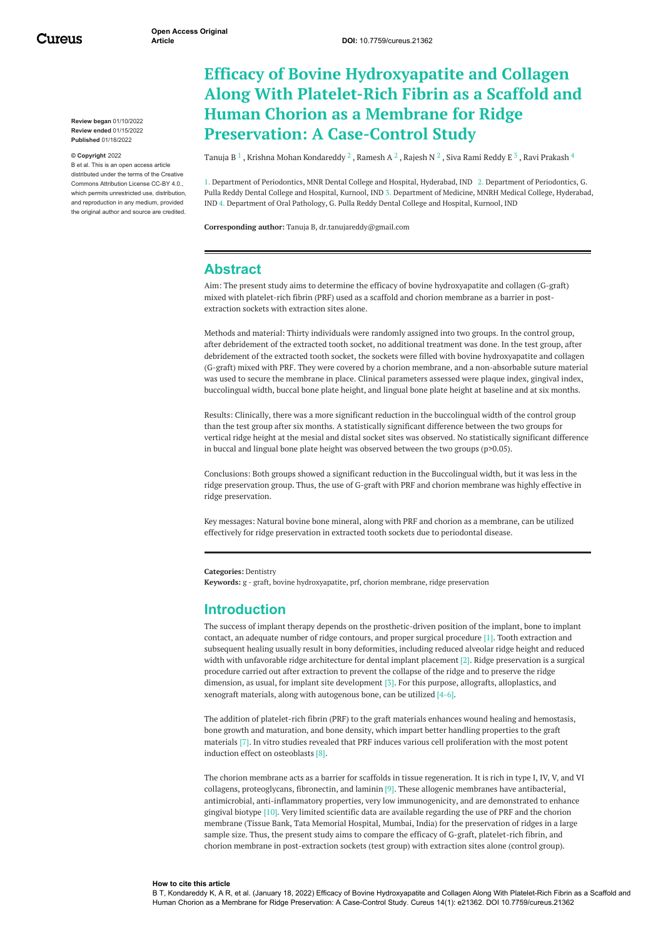Cureus

**Review began** 01/10/2022 **Review ended** 01/15/2022 **Published** 01/18/2022

#### **© Copyright** 2022

B et al. This is an open access article distributed under the terms of the Creative Commons Attribution License CC-BY 4.0., which permits unrestricted use, distribution and reproduction in any medium, provided the original author and source are credited.

# **Efficacy of Bovine Hydroxyapatite and Collagen Along With Platelet-Rich Fibrin as a Scaffold and Human Chorion as a Membrane for Ridge Preservation: A Case-Control Study**

[Tanuja](https://www.cureus.com/users/315260-tanuja-b) B  $^1$  , Krishna Mohan [Kondareddy](https://www.cureus.com/users/264750-krishna-mohana-reddy-kondareddy)  $^2$  , [Ramesh](https://www.cureus.com/users/317369-ramesh-a) A  $^2$  , [Rajesh](https://www.cureus.com/users/317376-rajesh-nichenametla-sr-) N  $^2$  , Siva Rami [Reddy](https://www.cureus.com/users/317377-siva-rami-reddy-e) E  $^3$  , Ravi [Prakash](https://www.cureus.com/users/319444-ravi-prakash)  $^4$ 

1. Department of Periodontics, MNR Dental College and Hospital, Hyderabad, IND 2. Department of Periodontics, G. Pulla Reddy Dental College and Hospital, Kurnool, IND 3. Department of Medicine, MNRH Medical College, Hyderabad, IND 4. Department of Oral Pathology, G. Pulla Reddy Dental College and Hospital, Kurnool, IND

**Corresponding author:** Tanuja B, dr.tanujareddy@gmail.com

#### **Abstract**

Aim: The present study aims to determine the efficacy of bovine hydroxyapatite and collagen (G-graft) mixed with platelet-rich fibrin (PRF) used as a scaffold and chorion membrane as a barrier in postextraction sockets with extraction sites alone.

Methods and material: Thirty individuals were randomly assigned into two groups. In the control group, after debridement of the extracted tooth socket, no additional treatment was done. In the test group, after debridement of the extracted tooth socket, the sockets were filled with bovine hydroxyapatite and collagen (G-graft) mixed with PRF. They were covered by a chorion membrane, and a non-absorbable suture material was used to secure the membrane in place. Clinical parameters assessed were plaque index, gingival index, buccolingual width, buccal bone plate height, and lingual bone plate height at baseline and at six months.

Results: Clinically, there was a more significant reduction in the buccolingual width of the control group than the test group after six months. A statistically significant difference between the two groups for vertical ridge height at the mesial and distal socket sites was observed. No statistically significant difference in buccal and lingual bone plate height was observed between the two groups (p>0.05).

Conclusions: Both groups showed a significant reduction in the Buccolingual width, but it was less in the ridge preservation group. Thus, the use of G-graft with PRF and chorion membrane was highly effective in ridge preservation.

Key messages: Natural bovine bone mineral, along with PRF and chorion as a membrane, can be utilized effectively for ridge preservation in extracted tooth sockets due to periodontal disease.

**Categories:** Dentistry

**Keywords:** g - graft, bovine hydroxyapatite, prf, chorion membrane, ridge preservation

#### **Introduction**

The success of implant therapy depends on the prosthetic-driven position of the implant, bone to implant contact, an adequate number of ridge contours, and proper surgical procedure [1]. Tooth extraction and subsequent healing usually result in bony deformities, including reduced alveolar ridge height and reduced width with unfavorable ridge architecture for dental implant placement [2]. Ridge preservation is a surgical procedure carried out after extraction to prevent the collapse of the ridge and to preserve the ridge dimension, as usual, for implant site development [3]. For this purpose, allografts, alloplastics, and xenograft materials, along with autogenous bone, can be utilized [4-6].

The addition of platelet-rich fibrin (PRF) to the graft materials enhances wound healing and hemostasis, bone growth and maturation, and bone density, which impart better handling properties to the graft materials [7]. In vitro studies revealed that PRF induces various cell proliferation with the most potent induction effect on osteoblasts [8].

The chorion membrane acts as a barrier for scaffolds in tissue regeneration. It is rich in type I, IV, V, and VI collagens, proteoglycans, fibronectin, and laminin [9]. These allogenic membranes have antibacterial, antimicrobial, anti-inflammatory properties, very low immunogenicity, and are demonstrated to enhance gingival biotype [10]. Very limited scientific data are available regarding the use of PRF and the chorion membrane (Tissue Bank, Tata Memorial Hospital, Mumbai, India) for the preservation of ridges in a large sample size. Thus, the present study aims to compare the efficacy of G-graft, platelet-rich fibrin, and chorion membrane in post-extraction sockets (test group) with extraction sites alone (control group).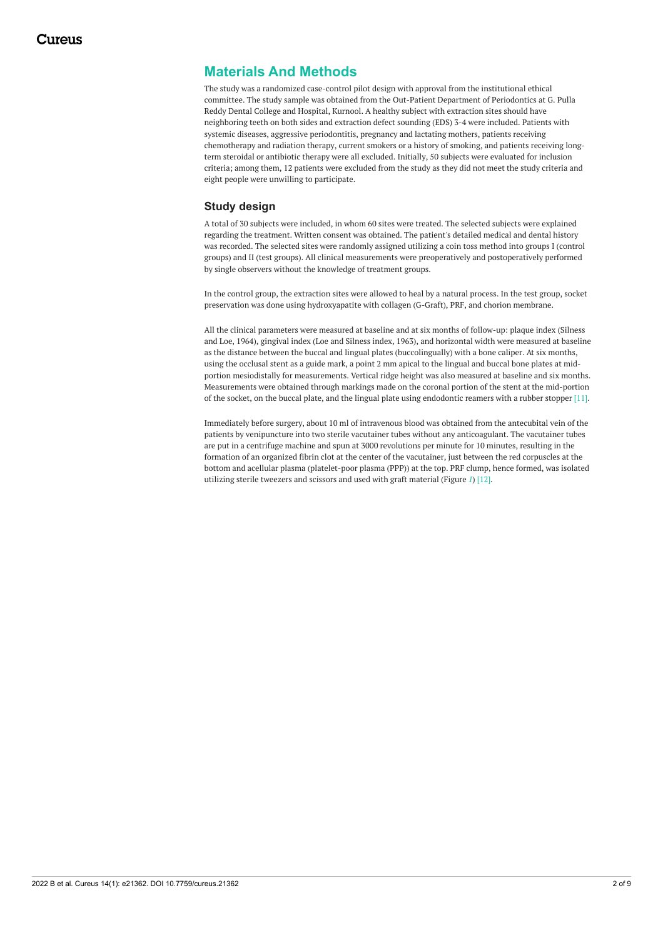## **Materials And Methods**

The study was a randomized case-control pilot design with approval from the institutional ethical committee. The study sample was obtained from the Out-Patient Department of Periodontics at G. Pulla Reddy Dental College and Hospital, Kurnool. A healthy subject with extraction sites should have neighboring teeth on both sides and extraction defect sounding (EDS) 3-4 were included. Patients with systemic diseases, aggressive periodontitis, pregnancy and lactating mothers, patients receiving chemotherapy and radiation therapy, current smokers or a history of smoking, and patients receiving longterm steroidal or antibiotic therapy were all excluded. Initially, 50 subjects were evaluated for inclusion criteria; among them, 12 patients were excluded from the study as they did not meet the study criteria and eight people were unwilling to participate.

#### **Study design**

A total of 30 subjects were included, in whom 60 sites were treated. The selected subjects were explained regarding the treatment. Written consent was obtained. The patient's detailed medical and dental history was recorded. The selected sites were randomly assigned utilizing a coin toss method into groups I (control groups) and II (test groups). All clinical measurements were preoperatively and postoperatively performed by single observers without the knowledge of treatment groups.

In the control group, the extraction sites were allowed to heal by a natural process. In the test group, socket preservation was done using hydroxyapatite with collagen (G-Graft), PRF, and chorion membrane.

All the clinical parameters were measured at baseline and at six months of follow-up: plaque index (Silness and Loe, 1964), gingival index (Loe and Silness index, 1963), and horizontal width were measured at baseline as the distance between the buccal and lingual plates (buccolingually) with a bone caliper. At six months, using the occlusal stent as a guide mark, a point 2 mm apical to the lingual and buccal bone plates at midportion mesiodistally for measurements. Vertical ridge height was also measured at baseline and six months. Measurements were obtained through markings made on the coronal portion of the stent at the mid-portion of the socket, on the buccal plate, and the lingual plate using endodontic reamers with a rubber stopper [11].

Immediately before surgery, about 10 ml of intravenous blood was obtained from the antecubital vein of the patients by venipuncture into two sterile vacutainer tubes without any anticoagulant. The vacutainer tubes are put in a centrifuge machine and spun at 3000 revolutions per minute for 10 minutes, resulting in the formation of an organized fibrin clot at the center of the vacutainer, just between the red corpuscles at the bottom and acellular plasma (platelet-poor plasma (PPP)) at the top. PRF clump, hence formed, was isolated utilizing sterile tweezers and scissors and used with graft material (Figure *[1](#page-2-0)*) [12].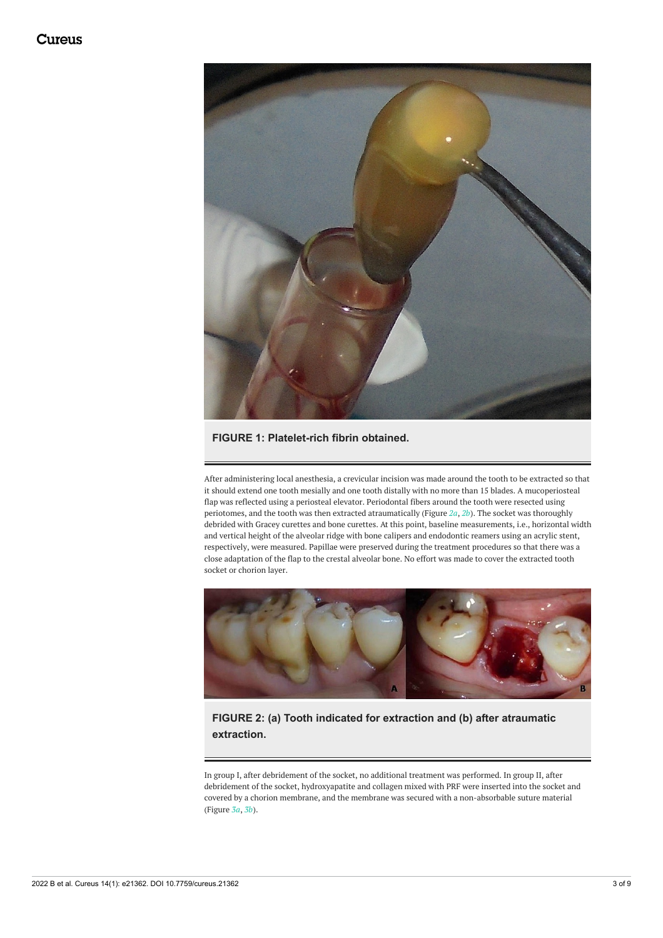<span id="page-2-0"></span>

#### **FIGURE 1: Platelet-rich fibrin obtained.**

After administering local anesthesia, a crevicular incision was made around the tooth to be extracted so that it should extend one tooth mesially and one tooth distally with no more than 15 blades. A mucoperiosteal flap was reflected using a periosteal elevator. Periodontal fibers around the tooth were resected using periotomes, and the tooth was then extracted atraumatically (Figure *[2a](#page-2-1)*, *[2b](#page-2-1)*). The socket was thoroughly debrided with Gracey curettes and bone curettes. At this point, baseline measurements, i.e., horizontal width and vertical height of the alveolar ridge with bone calipers and endodontic reamers using an acrylic stent, respectively, were measured. Papillae were preserved during the treatment procedures so that there was a close adaptation of the flap to the crestal alveolar bone. No effort was made to cover the extracted tooth socket or chorion layer.

<span id="page-2-1"></span>

## **FIGURE 2: (a) Tooth indicated for extraction and (b) after atraumatic extraction.**

In group I, after debridement of the socket, no additional treatment was performed. In group II, after debridement of the socket, hydroxyapatite and collagen mixed with PRF were inserted into the socket and covered by a chorion membrane, and the membrane was secured with a non-absorbable suture material (Figure *[3a](#page-3-0)*, *[3b](#page-3-0)*).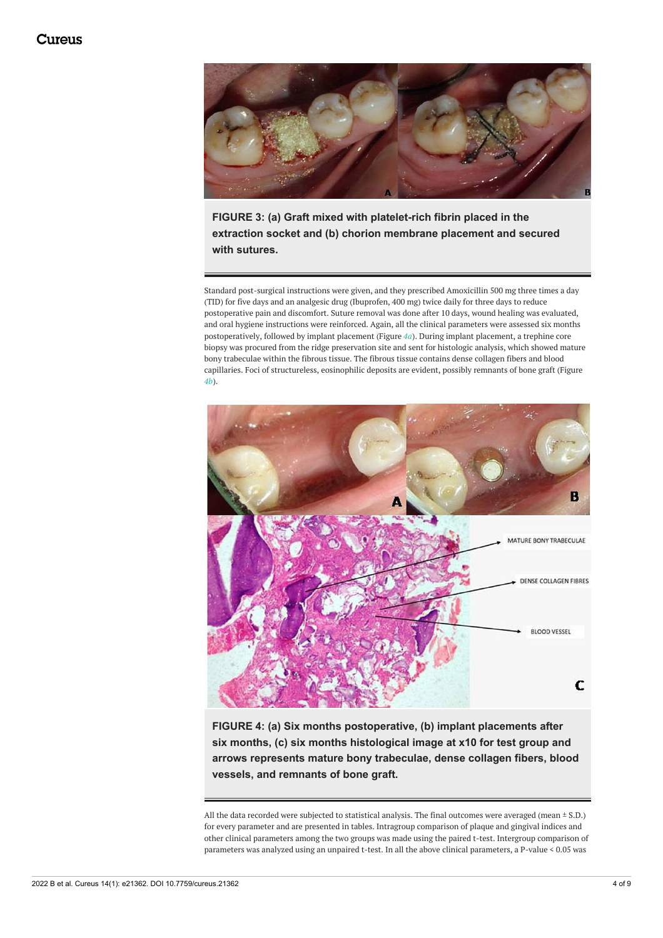<span id="page-3-0"></span>

**FIGURE 3: (a) Graft mixed with platelet-rich fibrin placed in the extraction socket and (b) chorion membrane placement and secured with sutures.**

Standard post-surgical instructions were given, and they prescribed Amoxicillin 500 mg three times a day (TID) for five days and an analgesic drug (Ibuprofen, 400 mg) twice daily for three days to reduce postoperative pain and discomfort. Suture removal was done after 10 days, wound healing was evaluated, and oral hygiene instructions were reinforced. Again, all the clinical parameters were assessed six months postoperatively, followed by implant placement (Figure *[4a](#page-3-1)*). During implant placement, a trephine core biopsy was procured from the ridge preservation site and sent for histologic analysis, which showed mature bony trabeculae within the fibrous tissue. The fibrous tissue contains dense collagen fibers and blood capillaries. Foci of structureless, eosinophilic deposits are evident, possibly remnants of bone graft (Figure *[4b](#page-3-1)*).

<span id="page-3-1"></span>

**FIGURE 4: (a) Six months postoperative, (b) implant placements after six months, (c) six months histological image at x10 for test group and arrows represents mature bony trabeculae, dense collagen fibers, blood vessels, and remnants of bone graft.**

All the data recorded were subjected to statistical analysis. The final outcomes were averaged (mean ± S.D.) for every parameter and are presented in tables. Intragroup comparison of plaque and gingival indices and other clinical parameters among the two groups was made using the paired t-test. Intergroup comparison of parameters was analyzed using an unpaired t-test. In all the above clinical parameters, a P-value < 0.05 was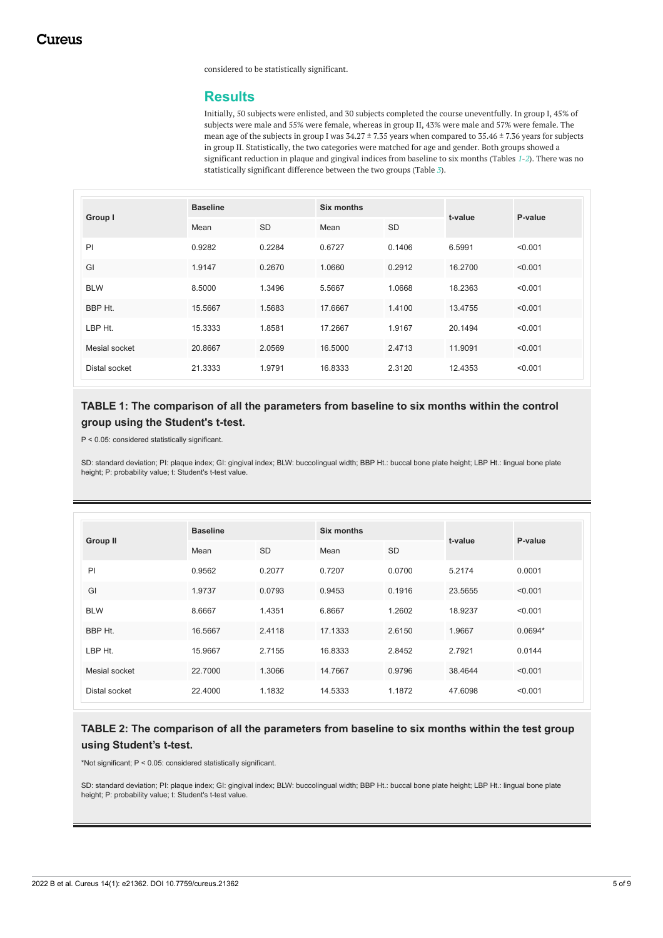considered to be statistically significant.

#### **Results**

Initially, 50 subjects were enlisted, and 30 subjects completed the course uneventfully. In group I, 45% of subjects were male and 55% were female, whereas in group II, 43% were male and 57% were female. The mean age of the subjects in group I was 34.27 ± 7.35 years when compared to 35.46 ± 7.36 years for subjects in group II. Statistically, the two categories were matched for age and gender. Both groups showed a significant reduction in plaque and gingival indices from baseline to six months (Tables *[1](#page-4-0)*-*[2](#page-4-1)*). There was no statistically significant difference between the two groups (Table *[3](#page-5-0)*).

<span id="page-4-0"></span>

| Group I       | <b>Baseline</b> |           | Six months |           |         | P-value |
|---------------|-----------------|-----------|------------|-----------|---------|---------|
|               | Mean            | <b>SD</b> | Mean       | <b>SD</b> | t-value |         |
| P             | 0.9282          | 0.2284    | 0.6727     | 0.1406    | 6.5991  | < 0.001 |
| GI            | 1.9147          | 0.2670    | 1.0660     | 0.2912    | 16.2700 | < 0.001 |
| <b>BLW</b>    | 8.5000          | 1.3496    | 5.5667     | 1.0668    | 18.2363 | < 0.001 |
| BBP Ht.       | 15.5667         | 1.5683    | 17.6667    | 1.4100    | 13.4755 | < 0.001 |
| LBP Ht.       | 15.3333         | 1.8581    | 17.2667    | 1.9167    | 20.1494 | < 0.001 |
| Mesial socket | 20.8667         | 2.0569    | 16.5000    | 2.4713    | 11.9091 | < 0.001 |
| Distal socket | 21.3333         | 1.9791    | 16.8333    | 2.3120    | 12.4353 | < 0.001 |

### **TABLE 1: The comparison of all the parameters from baseline to six months within the control group using the Student's t-test.**

P < 0.05: considered statistically significant.

SD: standard deviation; PI: plaque index; GI: gingival index; BLW: buccolingual width; BBP Ht.: buccal bone plate height; LBP Ht.: lingual bone plate height; P: probability value; t: Student's t-test value.

<span id="page-4-1"></span>

| <b>Group II</b> | <b>Baseline</b> |           |         |           | t-value | P-value   |
|-----------------|-----------------|-----------|---------|-----------|---------|-----------|
|                 | Mean            | <b>SD</b> | Mean    | <b>SD</b> |         |           |
| PI              | 0.9562          | 0.2077    | 0.7207  | 0.0700    | 5.2174  | 0.0001    |
| GI              | 1.9737          | 0.0793    | 0.9453  | 0.1916    | 23.5655 | < 0.001   |
| <b>BLW</b>      | 8.6667          | 1.4351    | 6.8667  | 1.2602    | 18.9237 | < 0.001   |
| BBP Ht.         | 16.5667         | 2.4118    | 17.1333 | 2.6150    | 1.9667  | $0.0694*$ |
| LBP Ht.         | 15.9667         | 2.7155    | 16.8333 | 2.8452    | 2.7921  | 0.0144    |
| Mesial socket   | 22.7000         | 1.3066    | 14.7667 | 0.9796    | 38.4644 | < 0.001   |
| Distal socket   | 22.4000         | 1.1832    | 14.5333 | 1.1872    | 47.6098 | < 0.001   |

#### **TABLE 2: The comparison of all the parameters from baseline to six months within the test group using Student's t-test.**

\*Not significant; P < 0.05: considered statistically significant.

SD: standard deviation; PI: plaque index; GI: gingival index; BLW: buccolingual width; BBP Ht.: buccal bone plate height; LBP Ht.: lingual bone plate height; P: probability value; t: Student's t-test value.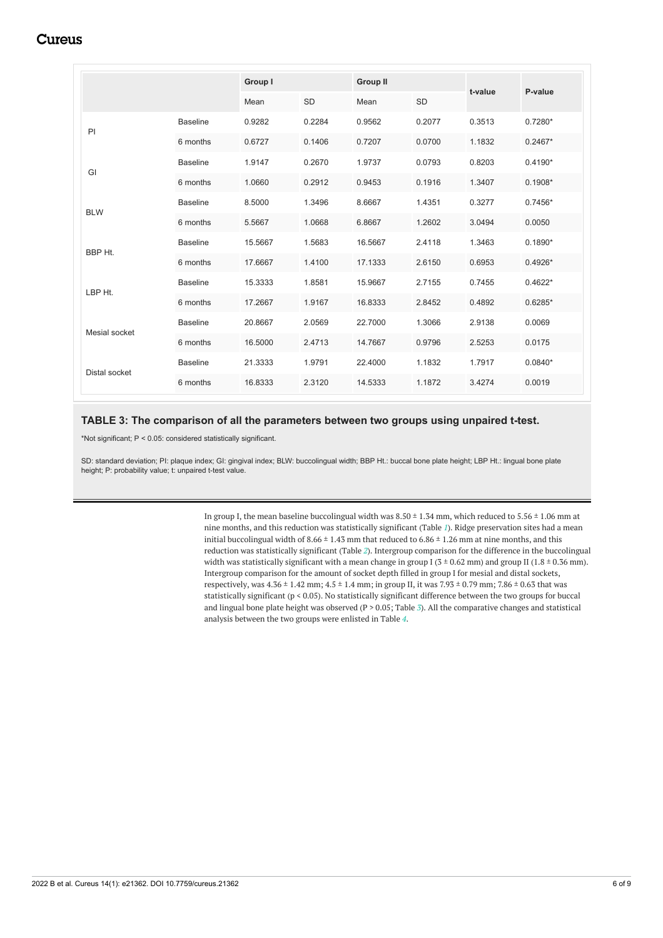## **Cureus**

<span id="page-5-0"></span>

|               |                 |         | Group I   |         | <b>Group II</b> |         |           |
|---------------|-----------------|---------|-----------|---------|-----------------|---------|-----------|
|               |                 | Mean    | <b>SD</b> | Mean    | <b>SD</b>       | t-value | P-value   |
| PI            | <b>Baseline</b> | 0.9282  | 0.2284    | 0.9562  | 0.2077          | 0.3513  | $0.7280*$ |
|               | 6 months        | 0.6727  | 0.1406    | 0.7207  | 0.0700          | 1.1832  | $0.2467*$ |
| GI            | <b>Baseline</b> | 1.9147  | 0.2670    | 1.9737  | 0.0793          | 0.8203  | $0.4190*$ |
|               | 6 months        | 1.0660  | 0.2912    | 0.9453  | 0.1916          | 1.3407  | $0.1908*$ |
| <b>BLW</b>    | <b>Baseline</b> | 8.5000  | 1.3496    | 8.6667  | 1.4351          | 0.3277  | $0.7456*$ |
|               | 6 months        | 5.5667  | 1.0668    | 6.8667  | 1.2602          | 3.0494  | 0.0050    |
| BBP Ht.       | <b>Baseline</b> | 15.5667 | 1.5683    | 16.5667 | 2.4118          | 1.3463  | $0.1890*$ |
|               | 6 months        | 17.6667 | 1.4100    | 17.1333 | 2.6150          | 0.6953  | $0.4926*$ |
| LBP Ht.       | <b>Baseline</b> | 15.3333 | 1.8581    | 15.9667 | 2.7155          | 0.7455  | $0.4622*$ |
|               | 6 months        | 17.2667 | 1.9167    | 16.8333 | 2.8452          | 0.4892  | $0.6285*$ |
| Mesial socket | <b>Baseline</b> | 20.8667 | 2.0569    | 22.7000 | 1.3066          | 2.9138  | 0.0069    |
|               | 6 months        | 16.5000 | 2.4713    | 14.7667 | 0.9796          | 2.5253  | 0.0175    |
| Distal socket | <b>Baseline</b> | 21.3333 | 1.9791    | 22.4000 | 1.1832          | 1.7917  | $0.0840*$ |
|               | 6 months        | 16.8333 | 2.3120    | 14.5333 | 1.1872          | 3.4274  | 0.0019    |

#### **TABLE 3: The comparison of all the parameters between two groups using unpaired t-test.**

\*Not significant; P < 0.05: considered statistically significant.

SD: standard deviation; PI: plaque index; GI: gingival index; BLW: buccolingual width; BBP Ht.: buccal bone plate height; LBP Ht.: lingual bone plate height; P: probability value; t: unpaired t-test value.

> In group I, the mean baseline buccolingual width was  $8.50 \pm 1.34$  mm, which reduced to  $5.56 \pm 1.06$  mm at nine months, and this reduction was statistically significant (Table *[1](#page-4-0)*). Ridge preservation sites had a mean initial buccolingual width of 8.66  $\pm$  1.43 mm that reduced to 6.86  $\pm$  1.26 mm at nine months, and this reduction was statistically significant (Table *[2](#page-4-1)*). Intergroup comparison for the difference in the buccolingual width was statistically significant with a mean change in group I ( $3 \pm 0.62$  mm) and group II ( $1.8 \pm 0.36$  mm). Intergroup comparison for the amount of socket depth filled in group I for mesial and distal sockets, respectively, was  $4.36 \pm 1.42$  mm;  $4.5 \pm 1.4$  mm; in group II, it was  $7.93 \pm 0.79$  mm;  $7.86 \pm 0.63$  that was statistically significant (p < 0.05). No statistically significant difference between the two groups for buccal and lingual bone plate height was observed (P > 0.05; Table *[3](#page-5-0)*). All the comparative changes and statistical analysis between the two groups were enlisted in Table *[4](#page-6-0)*.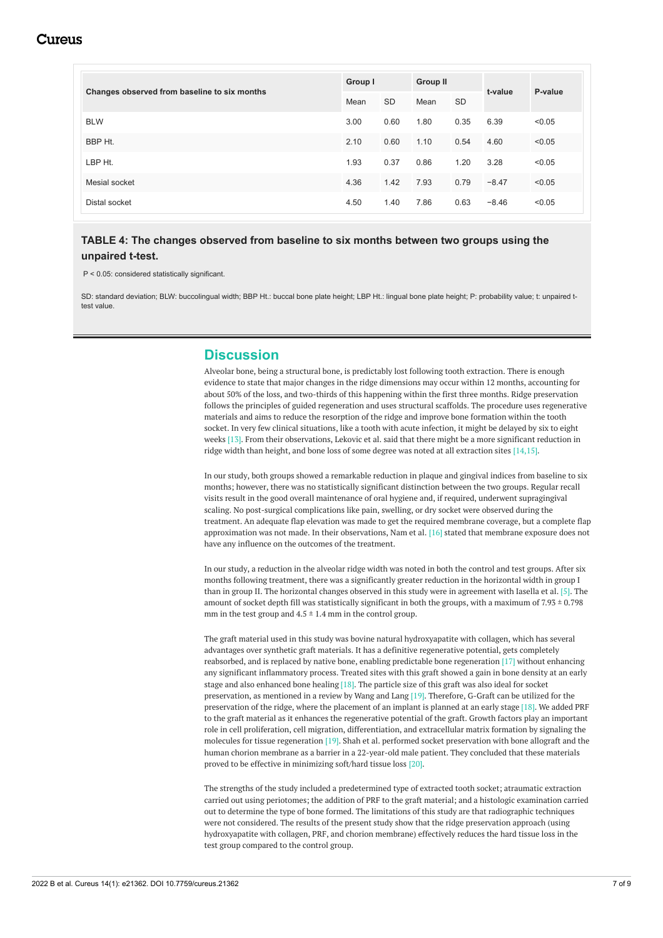## Cureus

<span id="page-6-0"></span>

|                                              | Group I |           | <b>Group II</b> |           |         | P-value |
|----------------------------------------------|---------|-----------|-----------------|-----------|---------|---------|
| Changes observed from baseline to six months | Mean    | <b>SD</b> | Mean            | <b>SD</b> | t-value |         |
| <b>BLW</b>                                   | 3.00    | 0.60      | 1.80            | 0.35      | 6.39    | < 0.05  |
| BBP Ht.                                      | 2.10    | 0.60      | 1.10            | 0.54      | 4.60    | < 0.05  |
| LBP Ht.                                      | 1.93    | 0.37      | 0.86            | 1.20      | 3.28    | < 0.05  |
| Mesial socket                                | 4.36    | 1.42      | 7.93            | 0.79      | $-8.47$ | < 0.05  |
| Distal socket                                | 4.50    | 1.40      | 7.86            | 0.63      | $-8.46$ | < 0.05  |

#### **TABLE 4: The changes observed from baseline to six months between two groups using the unpaired t-test.**

P < 0.05: considered statistically significant.

SD: standard deviation; BLW: buccolingual width; BBP Ht.: buccal bone plate height; LBP Ht.: lingual bone plate height; P: probability value; t: unpaired ttest value.

#### **Discussion**

Alveolar bone, being a structural bone, is predictably lost following tooth extraction. There is enough evidence to state that major changes in the ridge dimensions may occur within 12 months, accounting for about 50% of the loss, and two-thirds of this happening within the first three months. Ridge preservation follows the principles of guided regeneration and uses structural scaffolds. The procedure uses regenerative materials and aims to reduce the resorption of the ridge and improve bone formation within the tooth socket. In very few clinical situations, like a tooth with acute infection, it might be delayed by six to eight weeks [13]. From their observations, Lekovic et al. said that there might be a more significant reduction in ridge width than height, and bone loss of some degree was noted at all extraction sites [14,15].

In our study, both groups showed a remarkable reduction in plaque and gingival indices from baseline to six months; however, there was no statistically significant distinction between the two groups. Regular recall visits result in the good overall maintenance of oral hygiene and, if required, underwent supragingival scaling. No post-surgical complications like pain, swelling, or dry socket were observed during the treatment. An adequate flap elevation was made to get the required membrane coverage, but a complete flap approximation was not made. In their observations, Nam et al. [16] stated that membrane exposure does not have any influence on the outcomes of the treatment.

In our study, a reduction in the alveolar ridge width was noted in both the control and test groups. After six months following treatment, there was a significantly greater reduction in the horizontal width in group I than in group II. The horizontal changes observed in this study were in agreement with Iasella et al. [5]. The amount of socket depth fill was statistically significant in both the groups, with a maximum of 7.93  $\pm$  0.798 mm in the test group and  $4.5 \pm 1.4$  mm in the control group.

The graft material used in this study was bovine natural hydroxyapatite with collagen, which has several advantages over synthetic graft materials. It has a definitive regenerative potential, gets completely reabsorbed, and is replaced by native bone, enabling predictable bone regeneration [17] without enhancing any significant inflammatory process. Treated sites with this graft showed a gain in bone density at an early stage and also enhanced bone healing  $[18]$ . The particle size of this graft was also ideal for socket preservation, as mentioned in a review by Wang and Lang [19]. Therefore, G-Graft can be utilized for the preservation of the ridge, where the placement of an implant is planned at an early stage [18]. We added PRF to the graft material as it enhances the regenerative potential of the graft. Growth factors play an important role in cell proliferation, cell migration, differentiation, and extracellular matrix formation by signaling the molecules for tissue regeneration [19]. Shah et al. performed socket preservation with bone allograft and the human chorion membrane as a barrier in a 22-year-old male patient. They concluded that these materials proved to be effective in minimizing soft/hard tissue loss [20].

The strengths of the study included a predetermined type of extracted tooth socket; atraumatic extraction carried out using periotomes; the addition of PRF to the graft material; and a histologic examination carried out to determine the type of bone formed. The limitations of this study are that radiographic techniques were not considered. The results of the present study show that the ridge preservation approach (using hydroxyapatite with collagen, PRF, and chorion membrane) effectively reduces the hard tissue loss in the test group compared to the control group.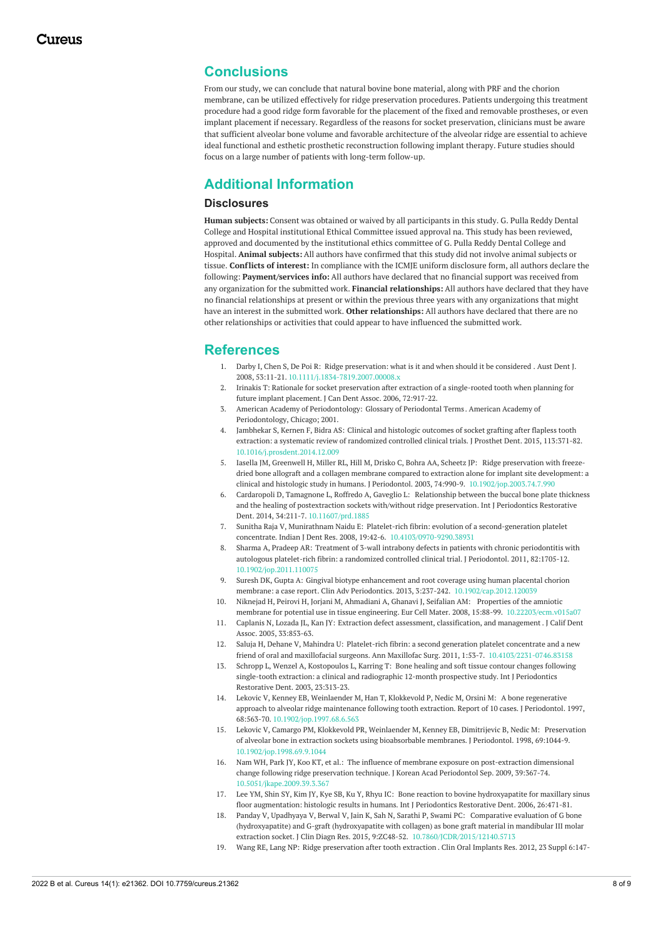### **Conclusions**

From our study, we can conclude that natural bovine bone material, along with PRF and the chorion membrane, can be utilized effectively for ridge preservation procedures. Patients undergoing this treatment procedure had a good ridge form favorable for the placement of the fixed and removable prostheses, or even implant placement if necessary. Regardless of the reasons for socket preservation, clinicians must be aware that sufficient alveolar bone volume and favorable architecture of the alveolar ridge are essential to achieve ideal functional and esthetic prosthetic reconstruction following implant therapy. Future studies should focus on a large number of patients with long-term follow-up.

## **Additional Information**

#### **Disclosures**

**Human subjects:** Consent was obtained or waived by all participants in this study. G. Pulla Reddy Dental College and Hospital institutional Ethical Committee issued approval na. This study has been reviewed, approved and documented by the institutional ethics committee of G. Pulla Reddy Dental College and Hospital. **Animal subjects:** All authors have confirmed that this study did not involve animal subjects or tissue. **Conflicts of interest:** In compliance with the ICMJE uniform disclosure form, all authors declare the following: **Payment/services info:** All authors have declared that no financial support was received from any organization for the submitted work. **Financial relationships:** All authors have declared that they have no financial relationships at present or within the previous three years with any organizations that might have an interest in the submitted work. **Other relationships:** All authors have declared that there are no other relationships or activities that could appear to have influenced the submitted work.

#### **References**

- 1. Darby I, Chen S, De Poi R: Ridge [preservation:](https://dx.doi.org/10.1111/j.1834-7819.2007.00008.x) what is it and when should it be considered . Aust Dent J. 2008, 53:11-21. [10.1111/j.1834-7819.2007.00008.x](https://dx.doi.org/10.1111/j.1834-7819.2007.00008.x)
- 2. Irinakis T: Rationale for socket preservation after extraction of a [single-rooted](https://pubmed.ncbi.nlm.nih.gov/17187706/) tooth when planning for future implant placement. J Can Dent Assoc. 2006, 72:917-22.
- 3. American Academy of Periodontology: Glossary of [Periodontal](https://c2-preview.prosites.com/131747/wy/docs/Glossary Of Periodontal Terms.pdf) Terms . American Academy of Periodontology, Chicago; 2001.
- Jambhekar S, Kernen F, Bidra AS: Clinical and histologic outcomes of socket grafting after flapless tooth extraction: a systematic review of [randomized](https://dx.doi.org/10.1016/j.prosdent.2014.12.009) controlled clinical trials. J Prosthet Dent. 2015, 113:371-82. [10.1016/j.prosdent.2014.12.009](https://dx.doi.org/10.1016/j.prosdent.2014.12.009)
- 5. Iasella JM, Greenwell H, Miller RL, Hill M, Drisko C, Bohra AA, Scheetz JP: Ridge preservation with freezedried bone allograft and a collagen membrane compared to extraction alone for implant site development: a clinical and histologic study in humans. J Periodontol. 2003, 74:990-9. [10.1902/jop.2003.74.7.990](https://dx.doi.org/10.1902/jop.2003.74.7.990)
- 6. Cardaropoli D, Tamagnone L, Roffredo A, Gaveglio L: Relationship between the buccal bone plate thickness and the healing of [postextraction](https://dx.doi.org/10.11607/prd.1885) sockets with/without ridge preservation. Int J Periodontics Restorative Dent. 2014, 34:211-7. [10.11607/prd.1885](https://dx.doi.org/10.11607/prd.1885)
- 7. Sunitha Raja V, Munirathnam Naidu E: Platelet-rich fibrin: evolution of a second-generation platelet concentrate. Indian J Dent Res. 2008, 19:42-6. 10.4103/0970-9290.3893
- 8. Sharma A, Pradeep AR: Treatment of 3-wall intrabony defects in patients with chronic [periodontitis](https://dx.doi.org/10.1902/jop.2011.110075) with autologous platelet-rich fibrin: a randomized controlled clinical trial. J Periodontol. 2011, 82:1705-12. [10.1902/jop.2011.110075](https://dx.doi.org/10.1902/jop.2011.110075)
- 9. Suresh DK, Gupta A: Gingival biotype enhancement and root coverage using human placental chorion membrane: a case report. Clin Adv Periodontics. 2013, 3:237-242. [10.1902/cap.2012.120039](https://dx.doi.org/10.1902/cap.2012.120039)
- 10. Niknejad H, Peirovi H, Jorjani M, Ahmadiani A, Ghanavi J, Seifalian AM: Properties of the amniotic membrane for potential use in tissue engineering. Eur Cell Mater. 2008, 15:88-99. [10.22203/ecm.v015a07](https://dx.doi.org/10.22203/ecm.v015a07)
- 11. Caplanis N, Lozada JL, Kan JY: Extraction defect assessment, [classification,](https://pubmed.ncbi.nlm.nih.gov/16463907/) and management. J Calif Dent Assoc. 2005, 33:853-63.
- 12. Saluja H, Dehane V, Mahindra U: Platelet-rich fibrin: a second generation platelet concentrate and a new friend of oral and maxillofacial surgeons. Ann Maxillofac Surg. 2011, 1:53-7. [10.4103/2231-0746.83158](https://dx.doi.org/10.4103/2231-0746.83158)
- 13. Schropp L, Wenzel A, [Kostopoulos](https://pubmed.ncbi.nlm.nih.gov/12956475/) L, Karring T: Bone healing and soft tissue contour changes following single-tooth extraction: a clinical and radiographic 12-month prospective study. Int J Periodontics Restorative Dent. 2003, 23:313-23.
- 14. Lekovic V, Kenney EB, Weinlaender M, Han T, Klokkevold P, Nedic M, Orsini M: A bone regenerative approach to alveolar ridge [maintenance](https://dx.doi.org/10.1902/jop.1997.68.6.563) following tooth extraction. Report of 10 cases. J Periodontol. 1997, 68:563-70. [10.1902/jop.1997.68.6.563](https://dx.doi.org/10.1902/jop.1997.68.6.563)
- 15. Lekovic V, Camargo PM, Klokkevold PR, Weinlaender M, Kenney EB, Dimitrijevic B, Nedic M: Preservation of alveolar bone in extraction sockets using [bioabsorbable](https://dx.doi.org/10.1902/jop.1998.69.9.1044) membranes. J Periodontol. 1998, 69:1044-9. [10.1902/jop.1998.69.9.1044](https://dx.doi.org/10.1902/jop.1998.69.9.1044)
- 16. Nam WH, Park JY, Koo KT, et al.: The influence of membrane exposure on [post-extraction](https://dx.doi.org/10.5051/jkape.2009.39.3.367) dimensional change following ridge preservation technique. J Korean Acad Periodontol Sep. 2009, 39:367-74. [10.5051/jkape.2009.39.3.367](https://dx.doi.org/10.5051/jkape.2009.39.3.367)
- 17. Lee YM, Shin SY, Kim JY, Kye SB, Ku Y, Rhyu IC: Bone reaction to bovine [hydroxyapatite](https://pubmed.ncbi.nlm.nih.gov/17073357/) for maxillary sinus floor augmentation: histologic results in humans. Int J Periodontics Restorative Dent. 2006, 26:471-81.
- 18. Panday V, Upadhyaya V, Berwal V, Jain K, Sah N, Sarathi P, Swami PC: Comparative evaluation of G bone (hydroxyapatite) and G-graft (hydroxyapatite with collagen) as bone graft material in mandibular III molar extraction socket. J Clin Diagn Res. 2015, 9:ZC48-52. [10.7860/JCDR/2015/12140.5713](https://dx.doi.org/10.7860/JCDR/2015/12140.5713)
- 19. Wang RE, Lang NP: Ridge [preservation](https://dx.doi.org/10.1111/j.1600-0501.2012.02560.x) after tooth extraction . Clin Oral Implants Res. 2012, 23 Suppl 6:147-